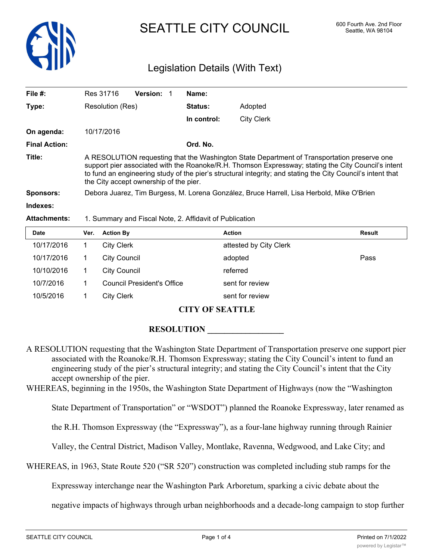

# SEATTLE CITY COUNCIL 600 Fourth Ave. 2nd Floor

# Legislation Details (With Text)

| File #:              | Res 31716                                                                                                                                                                                                                                                                                                                                                   | <b>Version:</b> | Name:          |                   |  |
|----------------------|-------------------------------------------------------------------------------------------------------------------------------------------------------------------------------------------------------------------------------------------------------------------------------------------------------------------------------------------------------------|-----------------|----------------|-------------------|--|
| Type:                | Resolution (Res)                                                                                                                                                                                                                                                                                                                                            |                 | <b>Status:</b> | Adopted           |  |
|                      |                                                                                                                                                                                                                                                                                                                                                             |                 | In control:    | <b>City Clerk</b> |  |
| On agenda:           | 10/17/2016                                                                                                                                                                                                                                                                                                                                                  |                 |                |                   |  |
| <b>Final Action:</b> |                                                                                                                                                                                                                                                                                                                                                             |                 | Ord. No.       |                   |  |
| Title:               | A RESOLUTION requesting that the Washington State Department of Transportation preserve one<br>support pier associated with the Roanoke/R.H. Thomson Expressway; stating the City Council's intent<br>to fund an engineering study of the pier's structural integrity; and stating the City Council's intent that<br>the City accept ownership of the pier. |                 |                |                   |  |
| <b>Sponsors:</b>     | Debora Juarez, Tim Burgess, M. Lorena González, Bruce Harrell, Lisa Herbold, Mike O'Brien                                                                                                                                                                                                                                                                   |                 |                |                   |  |
| Indexes:             |                                                                                                                                                                                                                                                                                                                                                             |                 |                |                   |  |

#### **Attachments:** 1. Summary and Fiscal Note, 2. Affidavit of Publication

| <b>Date</b> | Ver. | <b>Action By</b>                  | <b>Action</b>          | Result |
|-------------|------|-----------------------------------|------------------------|--------|
| 10/17/2016  |      | <b>City Clerk</b>                 | attested by City Clerk |        |
| 10/17/2016  |      | <b>City Council</b>               | adopted                | Pass   |
| 10/10/2016  |      | City Council                      | referred               |        |
| 10/7/2016   |      | <b>Council President's Office</b> | sent for review        |        |
| 10/5/2016   |      | <b>City Clerk</b>                 | sent for review        |        |

#### **CITY OF SEATTLE**

## ${\bf RESOLUTION}$

- A RESOLUTION requesting that the Washington State Department of Transportation preserve one support pier associated with the Roanoke/R.H. Thomson Expressway; stating the City Council's intent to fund an engineering study of the pier's structural integrity; and stating the City Council's intent that the City accept ownership of the pier.
- WHEREAS, beginning in the 1950s, the Washington State Department of Highways (now the "Washington

State Department of Transportation" or "WSDOT") planned the Roanoke Expressway, later renamed as

the R.H. Thomson Expressway (the "Expressway"), as a four-lane highway running through Rainier

Valley, the Central District, Madison Valley, Montlake, Ravenna, Wedgwood, and Lake City; and

WHEREAS, in 1963, State Route 520 ("SR 520") construction was completed including stub ramps for the

Expressway interchange near the Washington Park Arboretum, sparking a civic debate about the

negative impacts of highways through urban neighborhoods and a decade-long campaign to stop further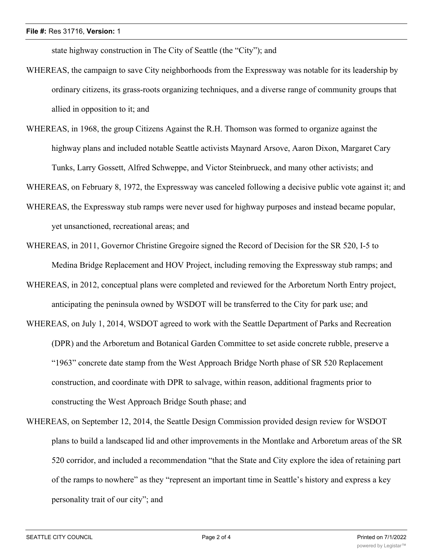state highway construction in The City of Seattle (the "City"); and

- WHEREAS, the campaign to save City neighborhoods from the Expressway was notable for its leadership by ordinary citizens, its grass-roots organizing techniques, and a diverse range of community groups that allied in opposition to it; and
- WHEREAS, in 1968, the group Citizens Against the R.H. Thomson was formed to organize against the highway plans and included notable Seattle activists Maynard Arsove, Aaron Dixon, Margaret Cary Tunks, Larry Gossett, Alfred Schweppe, and Victor Steinbrueck, and many other activists; and

WHEREAS, on February 8, 1972, the Expressway was canceled following a decisive public vote against it; and

- WHEREAS, the Expressway stub ramps were never used for highway purposes and instead became popular, yet unsanctioned, recreational areas; and
- WHEREAS, in 2011, Governor Christine Gregoire signed the Record of Decision for the SR 520, I-5 to Medina Bridge Replacement and HOV Project, including removing the Expressway stub ramps; and
- WHEREAS, in 2012, conceptual plans were completed and reviewed for the Arboretum North Entry project, anticipating the peninsula owned by WSDOT will be transferred to the City for park use; and
- WHEREAS, on July 1, 2014, WSDOT agreed to work with the Seattle Department of Parks and Recreation (DPR) and the Arboretum and Botanical Garden Committee to set aside concrete rubble, preserve a "1963" concrete date stamp from the West Approach Bridge North phase of SR 520 Replacement construction, and coordinate with DPR to salvage, within reason, additional fragments prior to constructing the West Approach Bridge South phase; and
- WHEREAS, on September 12, 2014, the Seattle Design Commission provided design review for WSDOT plans to build a landscaped lid and other improvements in the Montlake and Arboretum areas of the SR 520 corridor, and included a recommendation "that the State and City explore the idea of retaining part of the ramps to nowhere" as they "represent an important time in Seattle's history and express a key personality trait of our city"; and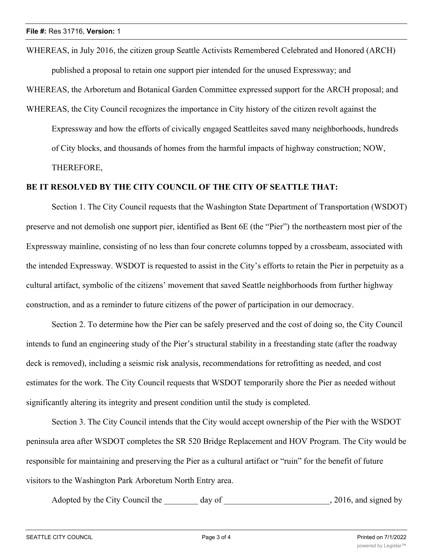WHEREAS, in July 2016, the citizen group Seattle Activists Remembered Celebrated and Honored (ARCH) published a proposal to retain one support pier intended for the unused Expressway; and

WHEREAS, the Arboretum and Botanical Garden Committee expressed support for the ARCH proposal; and

WHEREAS, the City Council recognizes the importance in City history of the citizen revolt against the Expressway and how the efforts of civically engaged Seattleites saved many neighborhoods, hundreds of City blocks, and thousands of homes from the harmful impacts of highway construction; NOW, THEREFORE,

## **BE IT RESOLVED BY THE CITY COUNCIL OF THE CITY OF SEATTLE THAT:**

Section 1. The City Council requests that the Washington State Department of Transportation (WSDOT) preserve and not demolish one support pier, identified as Bent 6E (the "Pier") the northeastern most pier of the Expressway mainline, consisting of no less than four concrete columns topped by a crossbeam, associated with the intended Expressway. WSDOT is requested to assist in the City's efforts to retain the Pier in perpetuity as a cultural artifact, symbolic of the citizens' movement that saved Seattle neighborhoods from further highway construction, and as a reminder to future citizens of the power of participation in our democracy.

Section 2. To determine how the Pier can be safely preserved and the cost of doing so, the City Council intends to fund an engineering study of the Pier's structural stability in a freestanding state (after the roadway deck is removed), including a seismic risk analysis, recommendations for retrofitting as needed, and cost estimates for the work. The City Council requests that WSDOT temporarily shore the Pier as needed without significantly altering its integrity and present condition until the study is completed.

Section 3. The City Council intends that the City would accept ownership of the Pier with the WSDOT peninsula area after WSDOT completes the SR 520 Bridge Replacement and HOV Program. The City would be responsible for maintaining and preserving the Pier as a cultural artifact or "ruin" for the benefit of future visitors to the Washington Park Arboretum North Entry area.

Adopted by the City Council the day of  $\qquad \qquad$ , 2016, and signed by